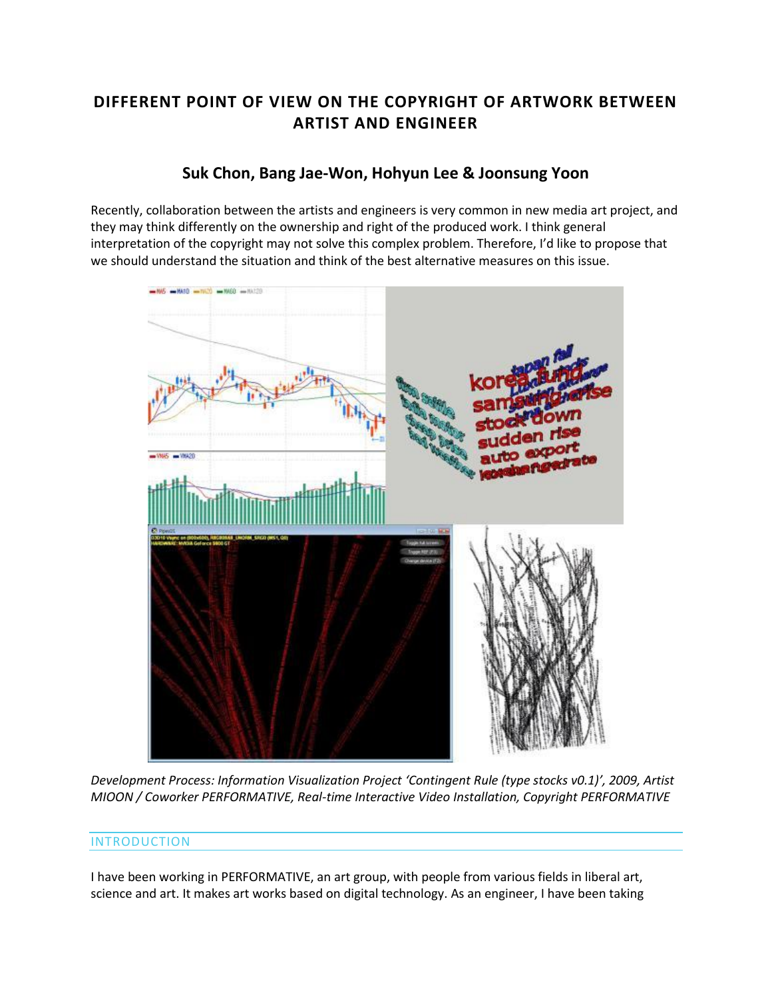# **DIFFERENT POINT OF VIEW ON THE COPYRIGHT OF ARTWORK BETWEEN ARTIST AND ENGINEER**

## **Suk Chon, [Bang Jae-Won,](http://isea2011.sabanciuniv.edu/-645.html) [Hohyun Lee](http://isea2011.sabanciuniv.edu/-646.html) & [Joonsung Yoon](http://isea2011.sabanciuniv.edu/professor-23.html)**

Recently, collaboration between the artists and engineers is very common in new media art project, and they may think differently on the ownership and right of the produced work. I think general interpretation of the copyright may not solve this complex problem. Therefore, I'd like to propose that we should understand the situation and think of the best alternative measures on this issue.



*Development Process: Information Visualization Project 'Contingent Rule (type stocks v0.1)', 2009, Artist MIOON / Coworker PERFORMATIVE, Real-time Interactive Video Installation, Copyright PERFORMATIVE*

#### INTRODUCTION

I have been working in PERFORMATIVE, an art group, with people from various fields in liberal art, science and art. It makes art works based on digital technology. As an engineer, I have been taking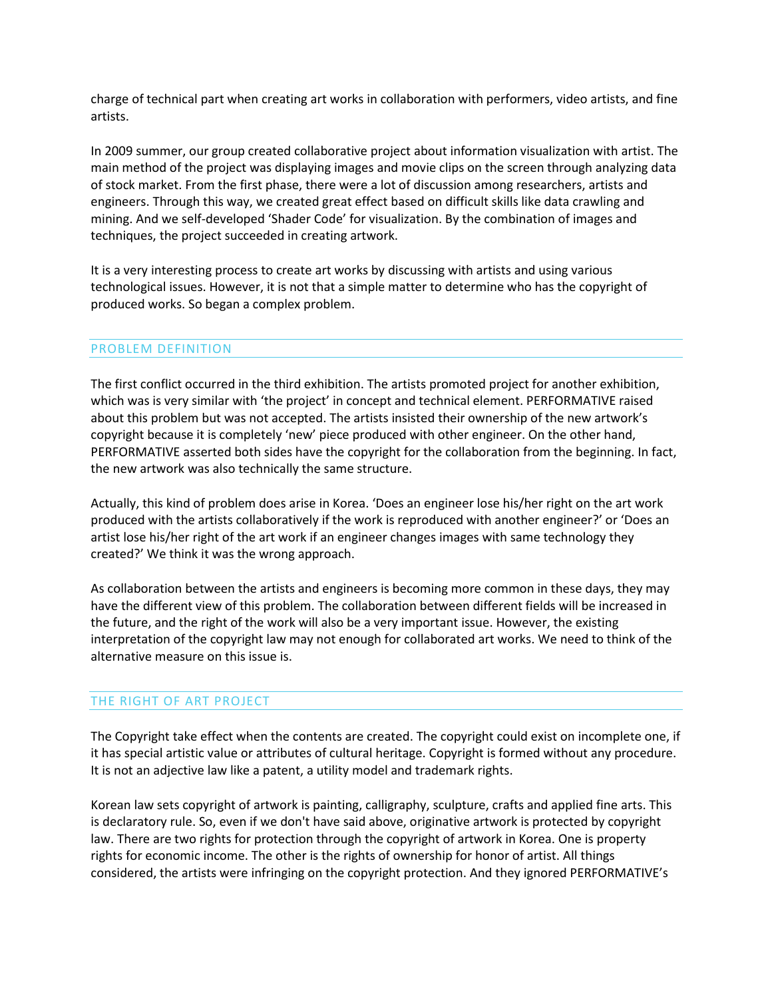charge of technical part when creating art works in collaboration with performers, video artists, and fine artists.

In 2009 summer, our group created collaborative project about information visualization with artist. The main method of the project was displaying images and movie clips on the screen through analyzing data of stock market. From the first phase, there were a lot of discussion among researchers, artists and engineers. Through this way, we created great effect based on difficult skills like data crawling and mining. And we self-developed 'Shader Code' for visualization. By the combination of images and techniques, the project succeeded in creating artwork.

It is a very interesting process to create art works by discussing with artists and using various technological issues. However, it is not that a simple matter to determine who has the copyright of produced works. So began a complex problem.

#### PROBLEM DEFINITION

The first conflict occurred in the third exhibition. The artists promoted project for another exhibition, which was is very similar with 'the project' in concept and technical element. PERFORMATIVE raised about this problem but was not accepted. The artists insisted their ownership of the new artwork's copyright because it is completely 'new' piece produced with other engineer. On the other hand, PERFORMATIVE asserted both sides have the copyright for the collaboration from the beginning. In fact, the new artwork was also technically the same structure.

Actually, this kind of problem does arise in Korea. 'Does an engineer lose his/her right on the art work produced with the artists collaboratively if the work is reproduced with another engineer?' or 'Does an artist lose his/her right of the art work if an engineer changes images with same technology they created?' We think it was the wrong approach.

As collaboration between the artists and engineers is becoming more common in these days, they may have the different view of this problem. The collaboration between different fields will be increased in the future, and the right of the work will also be a very important issue. However, the existing interpretation of the copyright law may not enough for collaborated art works. We need to think of the alternative measure on this issue is.

#### THE RIGHT OF ART PROJECT

The Copyright take effect when the contents are created. The copyright could exist on incomplete one, if it has special artistic value or attributes of cultural heritage. Copyright is formed without any procedure. It is not an adjective law like a patent, a utility model and trademark rights.

Korean law sets copyright of artwork is painting, calligraphy, sculpture, crafts and applied fine arts. This is declaratory rule. So, even if we don't have said above, originative artwork is protected by copyright law. There are two rights for protection through the copyright of artwork in Korea. One is property rights for economic income. The other is the rights of ownership for honor of artist. All things considered, the artists were infringing on the copyright protection. And they ignored PERFORMATIVE's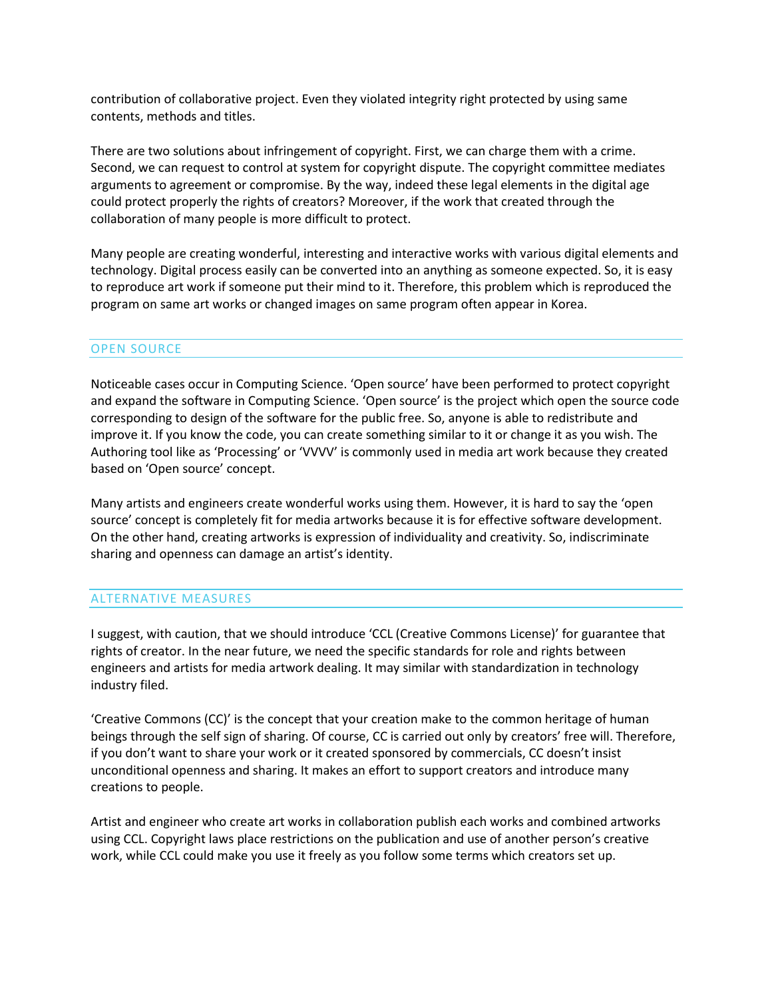contribution of collaborative project. Even they violated integrity right protected by using same contents, methods and titles.

There are two solutions about infringement of copyright. First, we can charge them with a crime. Second, we can request to control at system for copyright dispute. The copyright committee mediates arguments to agreement or compromise. By the way, indeed these legal elements in the digital age could protect properly the rights of creators? Moreover, if the work that created through the collaboration of many people is more difficult to protect.

Many people are creating wonderful, interesting and interactive works with various digital elements and technology. Digital process easily can be converted into an anything as someone expected. So, it is easy to reproduce art work if someone put their mind to it. Therefore, this problem which is reproduced the program on same art works or changed images on same program often appear in Korea.

### OPEN SOURCE

Noticeable cases occur in Computing Science. 'Open source' have been performed to protect copyright and expand the software in Computing Science. 'Open source' is the project which open the source code corresponding to design of the software for the public free. So, anyone is able to redistribute and improve it. If you know the code, you can create something similar to it or change it as you wish. The Authoring tool like as 'Processing' or 'VVVV' is commonly used in media art work because they created based on 'Open source' concept.

Many artists and engineers create wonderful works using them. However, it is hard to say the 'open source' concept is completely fit for media artworks because it is for effective software development. On the other hand, creating artworks is expression of individuality and creativity. So, indiscriminate sharing and openness can damage an artist's identity.

#### ALTERNATIVE MEASURES

I suggest, with caution, that we should introduce 'CCL (Creative Commons License)' for guarantee that rights of creator. In the near future, we need the specific standards for role and rights between engineers and artists for media artwork dealing. It may similar with standardization in technology industry filed.

'Creative Commons (CC)' is the concept that your creation make to the common heritage of human beings through the self sign of sharing. Of course, CC is carried out only by creators' free will. Therefore, if you don't want to share your work or it created sponsored by commercials, CC doesn't insist unconditional openness and sharing. It makes an effort to support creators and introduce many creations to people.

Artist and engineer who create art works in collaboration publish each works and combined artworks using CCL. Copyright laws place restrictions on the publication and use of another person's creative work, while CCL could make you use it freely as you follow some terms which creators set up.